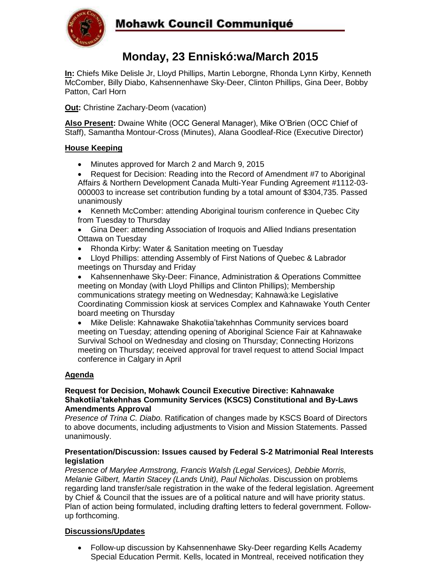

# **Mohawk Council Communiqué**

## **Monday, 23 Enniskó:wa/March 2015**

**In:** Chiefs Mike Delisle Jr, Lloyd Phillips, Martin Leborgne, Rhonda Lynn Kirby, Kenneth McComber, Billy Diabo, Kahsennenhawe Sky-Deer, Clinton Phillips, Gina Deer, Bobby Patton, Carl Horn

**Out:** Christine Zachary-Deom (vacation)

**Also Present:** Dwaine White (OCC General Manager), Mike O'Brien (OCC Chief of Staff), Samantha Montour-Cross (Minutes), Alana Goodleaf-Rice (Executive Director)

### **House Keeping**

- Minutes approved for March 2 and March 9, 2015
- Request for Decision: Reading into the Record of Amendment #7 to Aboriginal Affairs & Northern Development Canada Multi-Year Funding Agreement #1112-03- 000003 to increase set contribution funding by a total amount of \$304,735. Passed unanimously
- Kenneth McComber: attending Aboriginal tourism conference in Quebec City from Tuesday to Thursday
- Gina Deer: attending Association of Iroquois and Allied Indians presentation Ottawa on Tuesday
- Rhonda Kirby: Water & Sanitation meeting on Tuesday
- Lloyd Phillips: attending Assembly of First Nations of Quebec & Labrador meetings on Thursday and Friday

 Kahsennenhawe Sky-Deer: Finance, Administration & Operations Committee meeting on Monday (with Lloyd Phillips and Clinton Phillips); Membership communications strategy meeting on Wednesday; Kahnawà:ke Legislative Coordinating Commission kiosk at services Complex and Kahnawake Youth Center board meeting on Thursday

 Mike Delisle: Kahnawake Shakotiia'takehnhas Community services board meeting on Tuesday; attending opening of Aboriginal Science Fair at Kahnawake Survival School on Wednesday and closing on Thursday; Connecting Horizons meeting on Thursday; received approval for travel request to attend Social Impact conference in Calgary in April

### **Agenda**

#### **Request for Decision, Mohawk Council Executive Directive: Kahnawake Shakotiia'takehnhas Community Services (KSCS) Constitutional and By-Laws Amendments Approval**

*Presence of Trina C. Diabo.* Ratification of changes made by KSCS Board of Directors to above documents, including adjustments to Vision and Mission Statements. Passed unanimously.

#### **Presentation/Discussion: Issues caused by Federal S-2 Matrimonial Real Interests legislation**

*Presence of Marylee Armstrong, Francis Walsh (Legal Services), Debbie Morris, Melanie Gilbert, Martin Stacey (Lands Unit), Paul Nicholas*. Discussion on problems regarding land transfer/sale registration in the wake of the federal legislation. Agreement by Chief & Council that the issues are of a political nature and will have priority status. Plan of action being formulated, including drafting letters to federal government. Followup forthcoming.

#### **Discussions/Updates**

 Follow-up discussion by Kahsennenhawe Sky-Deer regarding Kells Academy Special Education Permit. Kells, located in Montreal, received notification they